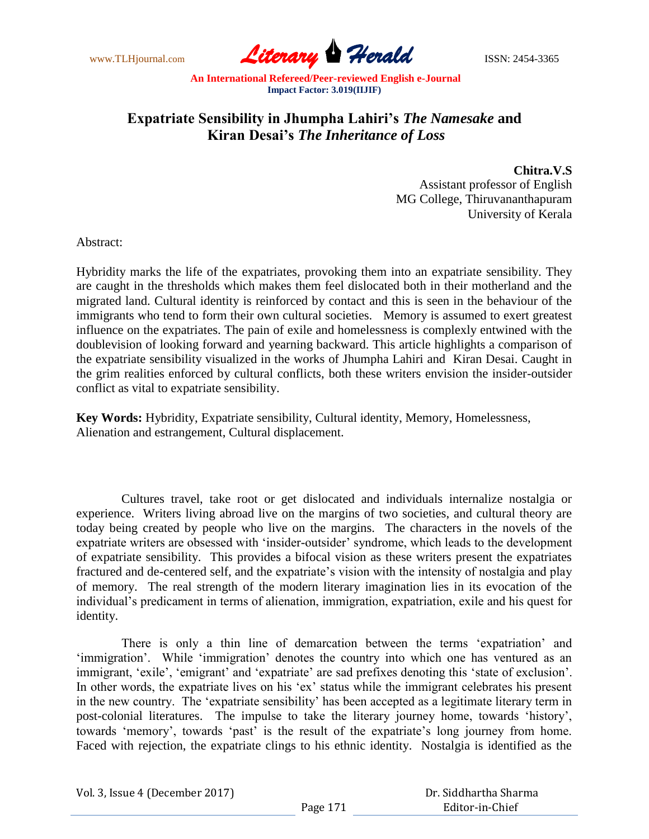www.TLHjournal.com **Literary Herald Herald** ISSN: 2454-3365

## **Expatriate Sensibility in Jhumpha Lahiri's** *The Namesake* **and Kiran Desai's** *The Inheritance of Loss*

**Chitra.V.S**

Assistant professor of English MG College, Thiruvananthapuram University of Kerala

Abstract:

Hybridity marks the life of the expatriates, provoking them into an expatriate sensibility. They are caught in the thresholds which makes them feel dislocated both in their motherland and the migrated land. Cultural identity is reinforced by contact and this is seen in the behaviour of the immigrants who tend to form their own cultural societies. Memory is assumed to exert greatest influence on the expatriates. The pain of exile and homelessness is complexly entwined with the doublevision of looking forward and yearning backward. This article highlights a comparison of the expatriate sensibility visualized in the works of Jhumpha Lahiri and Kiran Desai. Caught in the grim realities enforced by cultural conflicts, both these writers envision the insider-outsider conflict as vital to expatriate sensibility.

**Key Words:** Hybridity, Expatriate sensibility, Cultural identity, Memory, Homelessness, Alienation and estrangement, Cultural displacement.

Cultures travel, take root or get dislocated and individuals internalize nostalgia or experience. Writers living abroad live on the margins of two societies, and cultural theory are today being created by people who live on the margins. The characters in the novels of the expatriate writers are obsessed with "insider-outsider" syndrome, which leads to the development of expatriate sensibility. This provides a bifocal vision as these writers present the expatriates fractured and de-centered self, and the expatriate's vision with the intensity of nostalgia and play of memory. The real strength of the modern literary imagination lies in its evocation of the individual"s predicament in terms of alienation, immigration, expatriation, exile and his quest for identity.

There is only a thin line of demarcation between the terms "expatriation" and 'immigration'. While 'immigration' denotes the country into which one has ventured as an immigrant, 'exile', 'emigrant' and 'expatriate' are sad prefixes denoting this 'state of exclusion'. In other words, the expatriate lives on his 'ex' status while the immigrant celebrates his present in the new country. The "expatriate sensibility" has been accepted as a legitimate literary term in post-colonial literatures. The impulse to take the literary journey home, towards "history", towards 'memory', towards 'past' is the result of the expatriate's long journey from home. Faced with rejection, the expatriate clings to his ethnic identity. Nostalgia is identified as the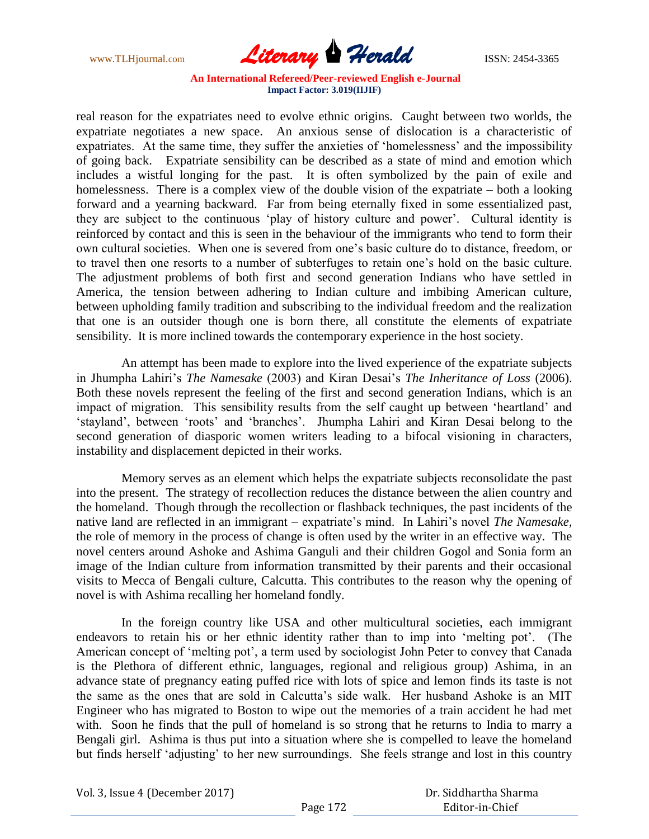www.TLHjournal.com **Literary Herald Herald** ISSN: 2454-3365

real reason for the expatriates need to evolve ethnic origins. Caught between two worlds, the expatriate negotiates a new space. An anxious sense of dislocation is a characteristic of expatriates. At the same time, they suffer the anxieties of 'homelessness' and the impossibility of going back. Expatriate sensibility can be described as a state of mind and emotion which includes a wistful longing for the past. It is often symbolized by the pain of exile and homelessness. There is a complex view of the double vision of the expatriate – both a looking forward and a yearning backward. Far from being eternally fixed in some essentialized past, they are subject to the continuous 'play of history culture and power'. Cultural identity is reinforced by contact and this is seen in the behaviour of the immigrants who tend to form their own cultural societies. When one is severed from one"s basic culture do to distance, freedom, or to travel then one resorts to a number of subterfuges to retain one"s hold on the basic culture. The adjustment problems of both first and second generation Indians who have settled in America, the tension between adhering to Indian culture and imbibing American culture, between upholding family tradition and subscribing to the individual freedom and the realization that one is an outsider though one is born there, all constitute the elements of expatriate sensibility. It is more inclined towards the contemporary experience in the host society.

An attempt has been made to explore into the lived experience of the expatriate subjects in Jhumpha Lahiri"s *The Namesake* (2003) and Kiran Desai"s *The Inheritance of Loss* (2006). Both these novels represent the feeling of the first and second generation Indians, which is an impact of migration. This sensibility results from the self caught up between "heartland" and "stayland", between "roots" and "branches". Jhumpha Lahiri and Kiran Desai belong to the second generation of diasporic women writers leading to a bifocal visioning in characters, instability and displacement depicted in their works.

Memory serves as an element which helps the expatriate subjects reconsolidate the past into the present. The strategy of recollection reduces the distance between the alien country and the homeland. Though through the recollection or flashback techniques, the past incidents of the native land are reflected in an immigrant – expatriate"s mind. In Lahiri"s novel *The Namesake,* the role of memory in the process of change is often used by the writer in an effective way. The novel centers around Ashoke and Ashima Ganguli and their children Gogol and Sonia form an image of the Indian culture from information transmitted by their parents and their occasional visits to Mecca of Bengali culture, Calcutta. This contributes to the reason why the opening of novel is with Ashima recalling her homeland fondly.

In the foreign country like USA and other multicultural societies, each immigrant endeavors to retain his or her ethnic identity rather than to imp into 'melting pot'. (The American concept of 'melting pot', a term used by sociologist John Peter to convey that Canada is the Plethora of different ethnic, languages, regional and religious group) Ashima, in an advance state of pregnancy eating puffed rice with lots of spice and lemon finds its taste is not the same as the ones that are sold in Calcutta"s side walk. Her husband Ashoke is an MIT Engineer who has migrated to Boston to wipe out the memories of a train accident he had met with. Soon he finds that the pull of homeland is so strong that he returns to India to marry a Bengali girl. Ashima is thus put into a situation where she is compelled to leave the homeland but finds herself "adjusting" to her new surroundings. She feels strange and lost in this country

Vol. 3, Issue 4 (December 2017)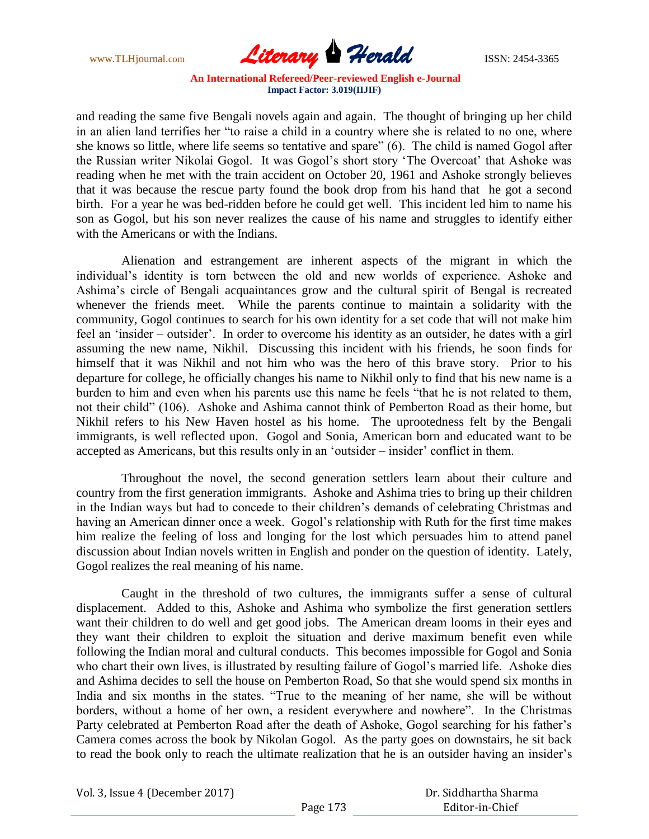www.TLHjournal.com **Literary Herald Herald ISSN: 2454-3365** 

and reading the same five Bengali novels again and again. The thought of bringing up her child in an alien land terrifies her "to raise a child in a country where she is related to no one, where she knows so little, where life seems so tentative and spare" (6). The child is named Gogol after the Russian writer Nikolai Gogol. It was Gogol"s short story "The Overcoat" that Ashoke was reading when he met with the train accident on October 20, 1961 and Ashoke strongly believes that it was because the rescue party found the book drop from his hand that he got a second birth. For a year he was bed-ridden before he could get well. This incident led him to name his son as Gogol, but his son never realizes the cause of his name and struggles to identify either with the Americans or with the Indians.

Alienation and estrangement are inherent aspects of the migrant in which the individual"s identity is torn between the old and new worlds of experience. Ashoke and Ashima"s circle of Bengali acquaintances grow and the cultural spirit of Bengal is recreated whenever the friends meet. While the parents continue to maintain a solidarity with the community, Gogol continues to search for his own identity for a set code that will not make him feel an 'insider – outsider'. In order to overcome his identity as an outsider, he dates with a girl assuming the new name, Nikhil. Discussing this incident with his friends, he soon finds for himself that it was Nikhil and not him who was the hero of this brave story. Prior to his departure for college, he officially changes his name to Nikhil only to find that his new name is a burden to him and even when his parents use this name he feels "that he is not related to them, not their child" (106). Ashoke and Ashima cannot think of Pemberton Road as their home, but Nikhil refers to his New Haven hostel as his home. The uprootedness felt by the Bengali immigrants, is well reflected upon. Gogol and Sonia, American born and educated want to be accepted as Americans, but this results only in an 'outsider – insider' conflict in them.

Throughout the novel, the second generation settlers learn about their culture and country from the first generation immigrants. Ashoke and Ashima tries to bring up their children in the Indian ways but had to concede to their children"s demands of celebrating Christmas and having an American dinner once a week. Gogol"s relationship with Ruth for the first time makes him realize the feeling of loss and longing for the lost which persuades him to attend panel discussion about Indian novels written in English and ponder on the question of identity. Lately, Gogol realizes the real meaning of his name.

Caught in the threshold of two cultures, the immigrants suffer a sense of cultural displacement. Added to this, Ashoke and Ashima who symbolize the first generation settlers want their children to do well and get good jobs. The American dream looms in their eyes and they want their children to exploit the situation and derive maximum benefit even while following the Indian moral and cultural conducts. This becomes impossible for Gogol and Sonia who chart their own lives, is illustrated by resulting failure of Gogol"s married life. Ashoke dies and Ashima decides to sell the house on Pemberton Road, So that she would spend six months in India and six months in the states. "True to the meaning of her name, she will be without borders, without a home of her own, a resident everywhere and nowhere". In the Christmas Party celebrated at Pemberton Road after the death of Ashoke, Gogol searching for his father's Camera comes across the book by Nikolan Gogol. As the party goes on downstairs, he sit back to read the book only to reach the ultimate realization that he is an outsider having an insider"s

Vol. 3, Issue 4 (December 2017)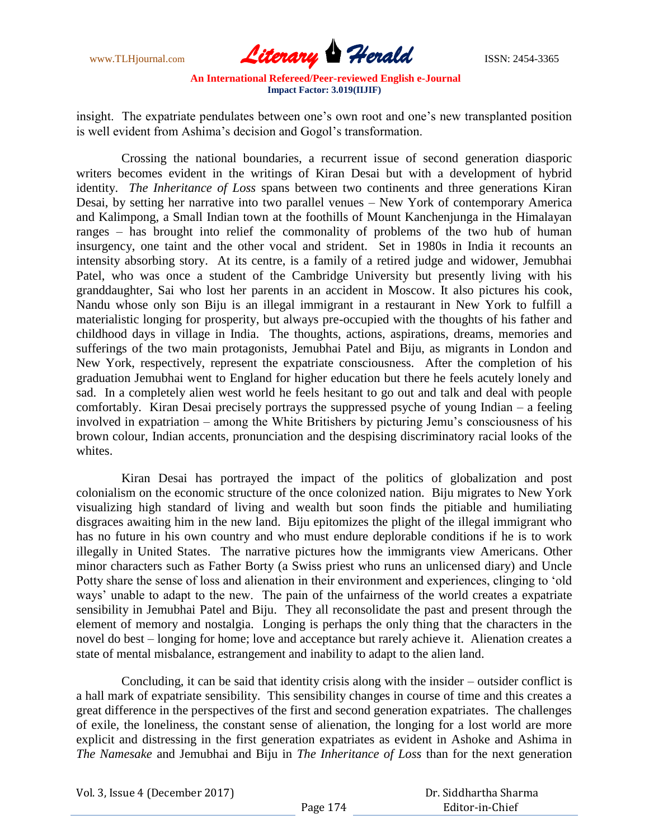www.TLHjournal.com **Literary Herald Herald** ISSN: 2454-3365

insight. The expatriate pendulates between one's own root and one's new transplanted position is well evident from Ashima's decision and Gogol's transformation.

Crossing the national boundaries, a recurrent issue of second generation diasporic writers becomes evident in the writings of Kiran Desai but with a development of hybrid identity. *The Inheritance of Loss* spans between two continents and three generations Kiran Desai, by setting her narrative into two parallel venues – New York of contemporary America and Kalimpong, a Small Indian town at the foothills of Mount Kanchenjunga in the Himalayan ranges – has brought into relief the commonality of problems of the two hub of human insurgency, one taint and the other vocal and strident. Set in 1980s in India it recounts an intensity absorbing story. At its centre, is a family of a retired judge and widower, Jemubhai Patel, who was once a student of the Cambridge University but presently living with his granddaughter, Sai who lost her parents in an accident in Moscow. It also pictures his cook, Nandu whose only son Biju is an illegal immigrant in a restaurant in New York to fulfill a materialistic longing for prosperity, but always pre-occupied with the thoughts of his father and childhood days in village in India. The thoughts, actions, aspirations, dreams, memories and sufferings of the two main protagonists, Jemubhai Patel and Biju, as migrants in London and New York, respectively, represent the expatriate consciousness. After the completion of his graduation Jemubhai went to England for higher education but there he feels acutely lonely and sad. In a completely alien west world he feels hesitant to go out and talk and deal with people comfortably. Kiran Desai precisely portrays the suppressed psyche of young Indian – a feeling involved in expatriation – among the White Britishers by picturing Jemu"s consciousness of his brown colour, Indian accents, pronunciation and the despising discriminatory racial looks of the whites.

Kiran Desai has portrayed the impact of the politics of globalization and post colonialism on the economic structure of the once colonized nation. Biju migrates to New York visualizing high standard of living and wealth but soon finds the pitiable and humiliating disgraces awaiting him in the new land. Biju epitomizes the plight of the illegal immigrant who has no future in his own country and who must endure deplorable conditions if he is to work illegally in United States. The narrative pictures how the immigrants view Americans. Other minor characters such as Father Borty (a Swiss priest who runs an unlicensed diary) and Uncle Potty share the sense of loss and alienation in their environment and experiences, clinging to "old ways" unable to adapt to the new. The pain of the unfairness of the world creates a expatriate sensibility in Jemubhai Patel and Biju. They all reconsolidate the past and present through the element of memory and nostalgia. Longing is perhaps the only thing that the characters in the novel do best – longing for home; love and acceptance but rarely achieve it. Alienation creates a state of mental misbalance, estrangement and inability to adapt to the alien land.

Concluding, it can be said that identity crisis along with the insider – outsider conflict is a hall mark of expatriate sensibility. This sensibility changes in course of time and this creates a great difference in the perspectives of the first and second generation expatriates. The challenges of exile, the loneliness, the constant sense of alienation, the longing for a lost world are more explicit and distressing in the first generation expatriates as evident in Ashoke and Ashima in *The Namesake* and Jemubhai and Biju in *The Inheritance of Loss* than for the next generation

| Vol. 3, Issue 4 (December 2017) |          | Dr. Siddhartha Sharma |
|---------------------------------|----------|-----------------------|
|                                 | Page 174 | Editor-in-Chief       |